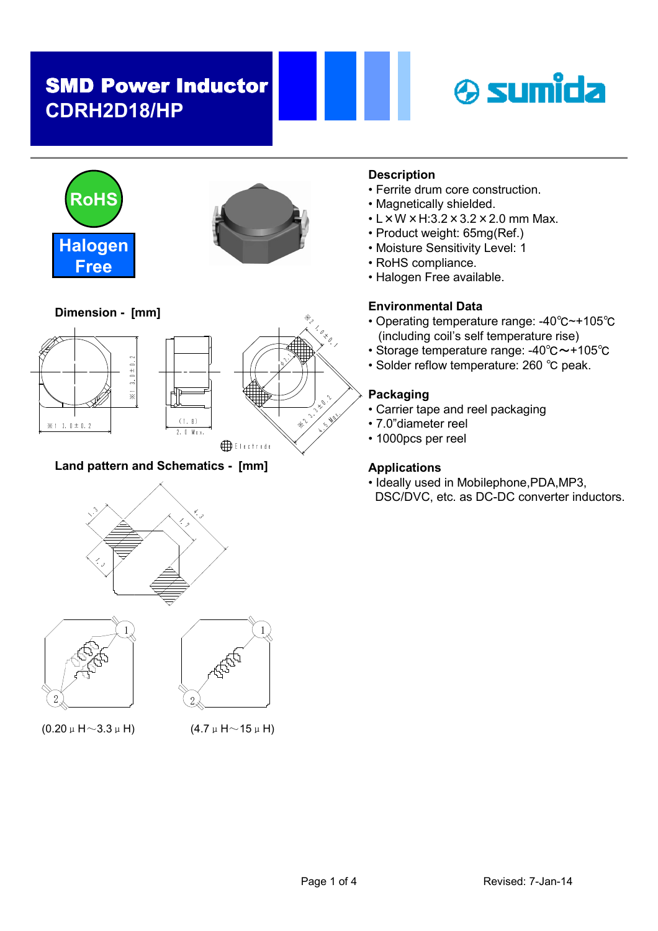





Dimension - [mm]





### Land pattern and Schematics - [mm]







 $(0.20 \mu \text{ H} \sim 3.3 \mu \text{ H})$  (4.7  $\mu \text{ H} \sim 15 \mu \text{ H}$ )

### **Description**

- Ferrite drum core construction.
- Magnetically shielded.
- $\cdot$  L  $\times$  W  $\times$  H:3.2  $\times$  3.2  $\times$  2.0 mm Max.
- Product weight: 65mg(Ref.)
- Moisture Sensitivity Level: 1
- RoHS compliance.
- Halogen Free available.

### Environmental Data

- Operating temperature range: -40℃~+105℃ (including coil's self temperature rise)
- Storage temperature range: -40℃~+105℃
- Solder reflow temperature: 260 ℃ peak.

### Packaging

., .

- Carrier tape and reel packaging
- 7.0"diameter reel
- 1000pcs per reel

#### Applications

• Ideally used in Mobilephone,PDA,MP3, DSC/DVC, etc. as DC-DC converter inductors.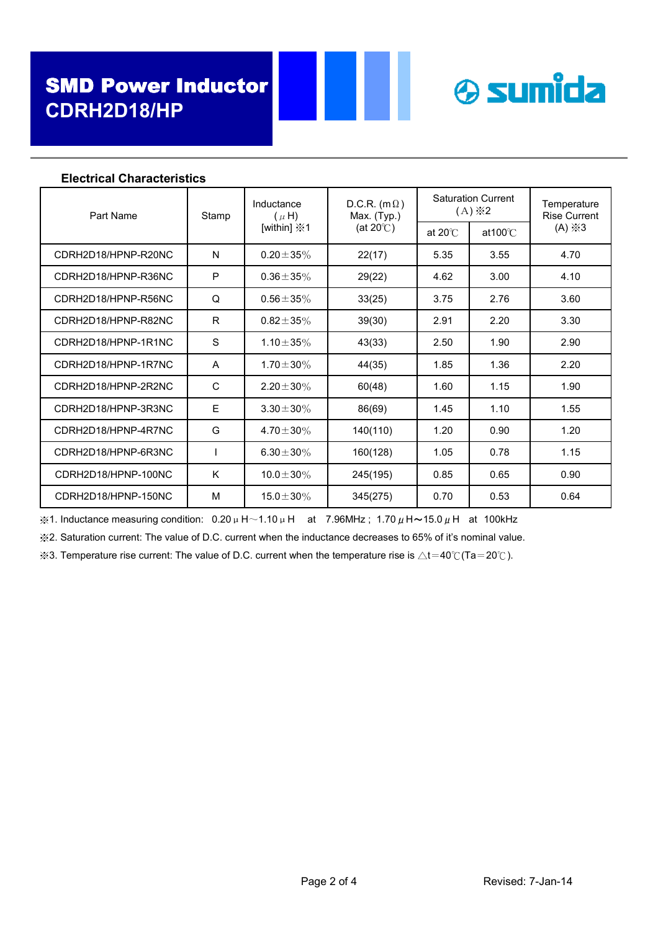

| LIGULIUAI UIIAI AULGI ISLIUS |       |                                                        |                                                           |                                           |                    |                                    |
|------------------------------|-------|--------------------------------------------------------|-----------------------------------------------------------|-------------------------------------------|--------------------|------------------------------------|
| Part Name                    | Stamp | Inductance<br>$(\mu H)$<br>[within] $\divideontimes$ 1 | D.C.R. $(m \Omega)$<br>Max. (Typ.)<br>(at $20^{\circ}$ C) | <b>Saturation Current</b><br>$(A)$ $\& 2$ |                    | Temperature<br><b>Rise Current</b> |
|                              |       |                                                        |                                                           | at $20^{\circ}$ C                         | at $100^{\circ}$ C | $(A) \times 3$                     |
| CDRH2D18/HPNP-R20NC          | N     | $0.20 \pm 35\%$                                        | 22(17)                                                    | 5.35                                      | 3.55               | 4.70                               |
| CDRH2D18/HPNP-R36NC          | P     | $0.36 \pm 35\%$                                        | 29(22)                                                    | 4.62                                      | 3.00               | 4.10                               |
| CDRH2D18/HPNP-R56NC          | Q     | $0.56 \pm 35\%$                                        | 33(25)                                                    | 3.75                                      | 2.76               | 3.60                               |
| CDRH2D18/HPNP-R82NC          | R     | $0.82 \pm 35\%$                                        | 39(30)                                                    | 2.91                                      | 2.20               | 3.30                               |
| CDRH2D18/HPNP-1R1NC          | S     | 1.10 $\pm$ 35%                                         | 43(33)                                                    | 2.50                                      | 1.90               | 2.90                               |
| CDRH2D18/HPNP-1R7NC          | A     | $1.70 \pm 30\%$                                        | 44(35)                                                    | 1.85                                      | 1.36               | 2.20                               |
| CDRH2D18/HPNP-2R2NC          | C     | $2.20 \pm 30\%$                                        | 60(48)                                                    | 1.60                                      | 1.15               | 1.90                               |
| CDRH2D18/HPNP-3R3NC          | Ε     | $3.30 \pm 30\%$                                        | 86(69)                                                    | 1.45                                      | 1.10               | 1.55                               |
| CDRH2D18/HPNP-4R7NC          | G     | 4.70 $\pm$ 30%                                         | 140(110)                                                  | 1.20                                      | 0.90               | 1.20                               |
| CDRH2D18/HPNP-6R3NC          |       | 6.30 $\pm$ 30%                                         | 160(128)                                                  | 1.05                                      | 0.78               | 1.15                               |
| CDRH2D18/HPNP-100NC          | K     | $10.0 \pm 30\%$                                        | 245(195)                                                  | 0.85                                      | 0.65               | 0.90                               |
| CDRH2D18/HPNP-150NC          | M     | $15.0 \pm 30\%$                                        | 345(275)                                                  | 0.70                                      | 0.53               | 0.64                               |

#### Electrical Characteristics

 $%1.$  Inductance measuring condition: 0.20μH~1.10μH at 7.96MHz; 1.70μH~15.0μH at 100kHz

※2. Saturation current: The value of D.C. current when the inductance decreases to 65% of it's nominal value.

※3. Temperature rise current: The value of D.C. current when the temperature rise is △t=40℃(Ta=20℃).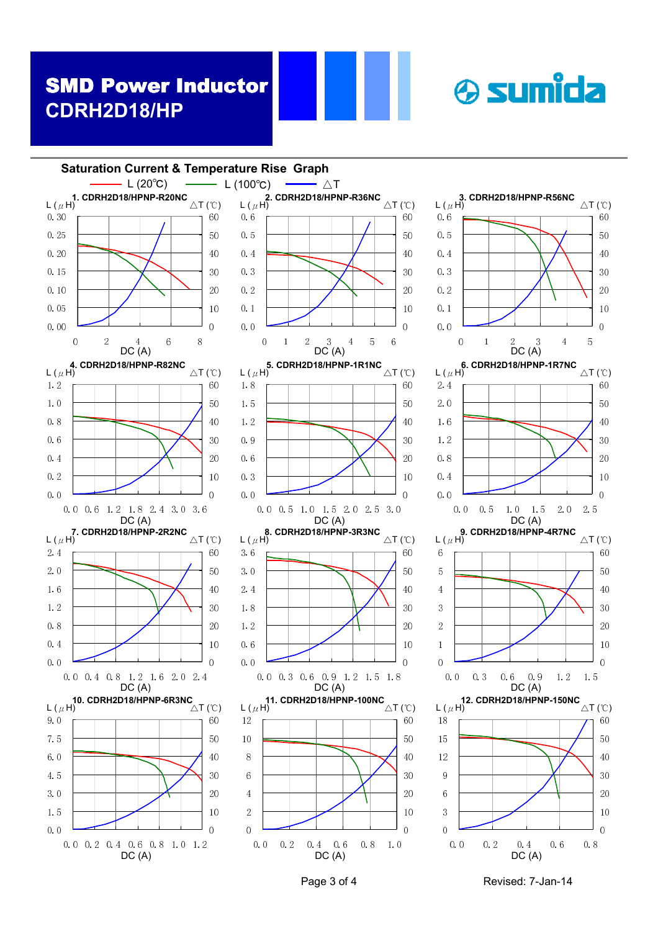



Page 3 of 4 Revised: 7-Jan-14